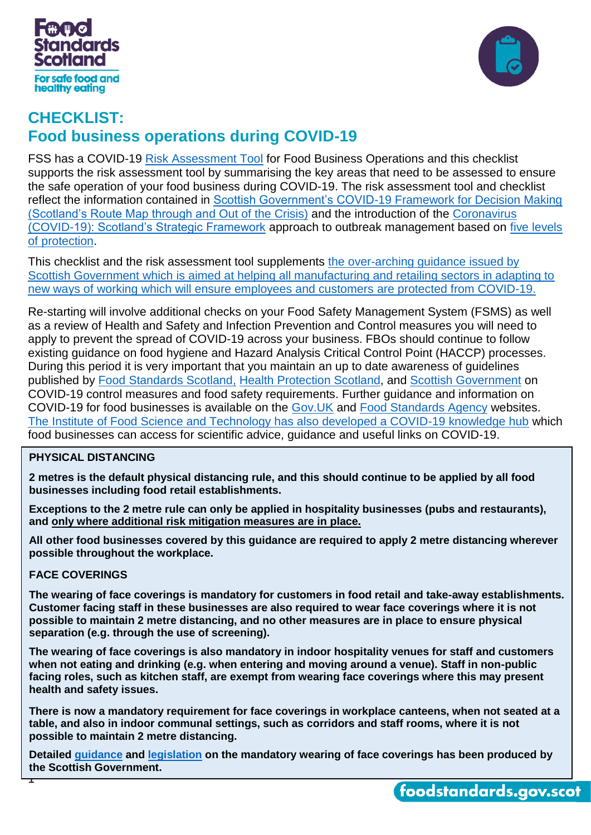



# **CHECKLIST: Food business operations during COVID-19**

FSS has a COVID-19 [Risk Assessment Tool](https://www.foodstandards.gov.scot/downloads/COVID-19_-_Risk_Assessment_Tool_for_Re-starting_Food_Business_Operations_During_COVID-19.pdf) for Food Business Operations and this checklist supports the risk assessment tool by summarising the key areas that need to be assessed to ensure the safe operation of your food business during COVID-19. The risk assessment tool and checklist reflect the information contained in [Scottish Government's COVID-19 Framework for Decision Making](https://www.gov.scot/publications/coronavirus-covid-19-framework-decision-making-scotlands-route-map-through-out-crisis/)  [\(Scotland's Route Map through and Out of the Crisis\)](https://www.gov.scot/publications/coronavirus-covid-19-framework-decision-making-scotlands-route-map-through-out-crisis/) and the introduction of the [Coronavirus](file://///scotland.gov.uk/dc1/fs3_home/U446817/Projects/COVID-19/The%20Coronavirus%20(COVID-19):%20Scotland’s%20Strategic%20Framework%20sets)  [\(COVID-19\): Scotland's Strategic Framework](file://///scotland.gov.uk/dc1/fs3_home/U446817/Projects/COVID-19/The%20Coronavirus%20(COVID-19):%20Scotland’s%20Strategic%20Framework%20sets) approach to outbreak management based on [five levels](https://www.gov.scot/publications/covid-19-scotlands-strategic-framework/pages/9/)  [of protection.](https://www.gov.scot/publications/covid-19-scotlands-strategic-framework/pages/9/)

This checklist and the risk assessment tool supplements [the over-arching guidance issued by](https://www.gov.scot/news/sector-guidance-for-easing-lockdown/)  [Scottish Government which is aimed at helping all manufacturing and retailing sectors in adapting to](https://www.gov.scot/news/sector-guidance-for-easing-lockdown/)  [new ways of working which will ensure employees and customers](https://www.gov.scot/news/sector-guidance-for-easing-lockdown/) are protected from COVID-19.

Re-starting will involve additional checks on your Food Safety Management System (FSMS) as well as a review of Health and Safety and Infection Prevention and Control measures you will need to apply to prevent the spread of COVID-19 across your business. FBOs should continue to follow existing guidance on food hygiene and Hazard Analysis Critical Control Point (HACCP) processes. During this period it is very important that you maintain an up to date awareness of guidelines published by [Food Standards Scotland,](https://www.foodstandards.gov.scot/publications-and-research/publications/covid-19-guidance-for-food-business-operators-and-their-employees) [Health Protection Scotland,](https://www.hps.scot.nhs.uk/web-resources-container/covid-19-guidance-for-non-healthcare-settings/) and [Scottish Government](https://www.gov.scot/collections/coronavirus-covid-19-guidance/) on COVID-19 control measures and food safety requirements. Further guidance and information on COVID-19 for food businesses is available on the [Gov.UK](https://www.gov.uk/government/publications/covid-19-guidance-for-food-businesses/guidance-for-food-businesses-on-coronavirus-covid-19) and [Food Standards Agency](https://www.food.gov.uk/business-guidance/reopening-and-adapting-your-food-business-during-covid-19) websites. [The Institute of Food Science and Technology has also developed a COVID-19 knowledge hub](https://www.ifst.org/resources-policy/covid-19-knowledge-hub) which food businesses can access for scientific advice, guidance and useful links on COVID-19.

#### **PHYSICAL DISTANCING**

**2 metres is the default physical distancing rule, and this should continue to be applied by all food businesses including food retail establishments.**

**Exceptions to the 2 metre rule can only be applied in hospitality businesses (pubs and restaurants), and only where additional risk mitigation measures are in place.**

**All other food businesses covered by this guidance are required to apply 2 metre distancing wherever possible throughout the workplace.** 

#### **FACE COVERINGS**

**The wearing of face coverings is mandatory for customers in food retail and take-away establishments. Customer facing staff in these businesses are also required to wear face coverings where it is not possible to maintain 2 metre distancing, and no other measures are in place to ensure physical separation (e.g. through the use of screening).**

**The wearing of face coverings is also mandatory in indoor hospitality venues for staff and customers when not eating and drinking (e.g. when entering and moving around a venue). Staff in non-public facing roles, such as kitchen staff, are exempt from wearing face coverings where this may present health and safety issues.**

**There is now a mandatory requirement for face coverings in workplace canteens, when not seated at a table, and also in indoor communal settings, such as corridors and staff rooms, where it is not possible to maintain 2 metre distancing.**

**1 Detailed [guidance](https://www.gov.scot/publications/coronavirus-covid-19-phase-3-staying-safe-and-protecting-others/pages/face-coverings/) and [legislation](https://www.gov.scot/binaries/content/documents/govscot/publications/regulation-directive-order/2020/10/the-health-protection-coronavirus-restrictions-and-requirements-additional-temporary-measures-scotland-regulations-2020/documents/the-health-protection-coronavirus-restrictions-and-requirements-additional-temporary-measures-scotland-regulations-2020/the-health-protection-coronavirus-restrictions-and-requirements-additional-temporary-measures-scotland-regulations-2020/govscot%3Adocument/The%2BHealth%2BProtection%2B%2528Coronavirus%2529%2B%2528Restrictions%2Band%2BRequirements%2529%2B%2528Additional%2BTemporary%2BMeasures%2529%2B%2528Scotland%2529%2BRegulations%2B2020.pdf) on the mandatory wearing of face coverings has been produced by the Scottish Government.**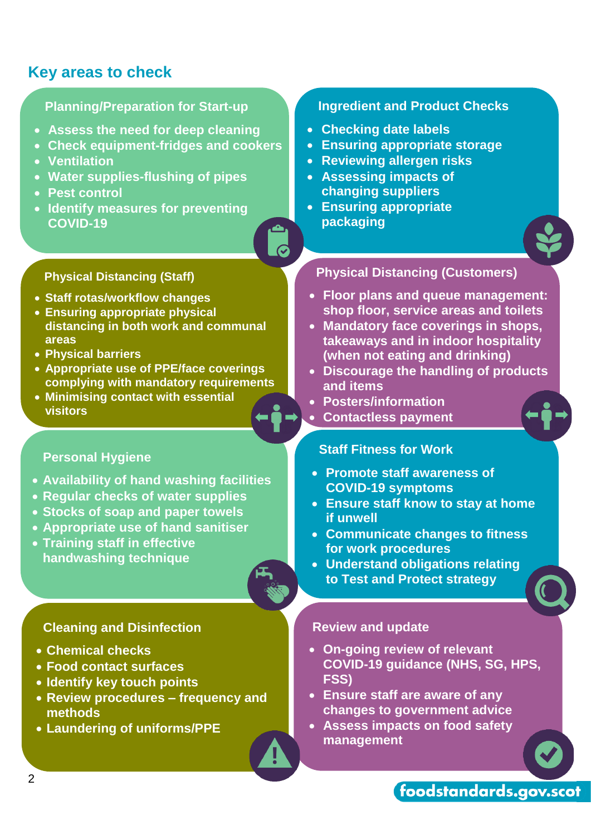# **Key areas to check**

# **Planning/Preparation for Start-up Assess the need for deep cleaning Check equipment-fridges and cookers**

- **Ventilation**
- **Water supplies-flushing of pipes**
- **Pest control**
- **Identify measures for preventing COVID-19**

## **Physical Distancing (Staff)**

- **Staff rotas/workflow changes**
- **Ensuring appropriate physical distancing in both work and communal areas**
- **Physical barriers**
- **Appropriate use of PPE/face coverings complying with mandatory requirements**
- **Minimising contact with essential visitors**

# **Personal Hygiene**

- **Availability of hand washing facilities**
- **Regular checks of water supplies**
- **Stocks of soap and paper towels**
- **Appropriate use of hand sanitiser**
- **Training staff in effective handwashing technique**

## **Cleaning and Disinfection**

- **Chemical checks**
- **Food contact surfaces**
- **Identify key touch points**
- **Review procedures – frequency and methods**
- **Laundering of uniforms/PPE**

## **Ingredient and Product Checks**

- **Checking date labels**
- **Ensuring appropriate storage**
- **Reviewing allergen risks**
- **Assessing impacts of changing suppliers**
- **Ensuring appropriate packaging**



## **Physical Distancing (Customers)**

- **Floor plans and queue management: shop floor, service areas and toilets**
- **Mandatory face coverings in shops, takeaways and in indoor hospitality (when not eating and drinking)**
- **Discourage the handling of products and items**
- **Posters/information**
- **Contactless payment**

### **Staff Fitness for Work**

- **Promote staff awareness of COVID-19 symptoms**
- **Ensure staff know to stay at home if unwell**
- **Communicate changes to fitness for work procedures**
- **Understand obligations relating to Test and Protect strategy**

#### **Review and update**

- **On-going review of relevant COVID-19 guidance (NHS, SG, HPS, FSS)**
- **Ensure staff are aware of any changes to government advice**
- **Assess impacts on food safety management**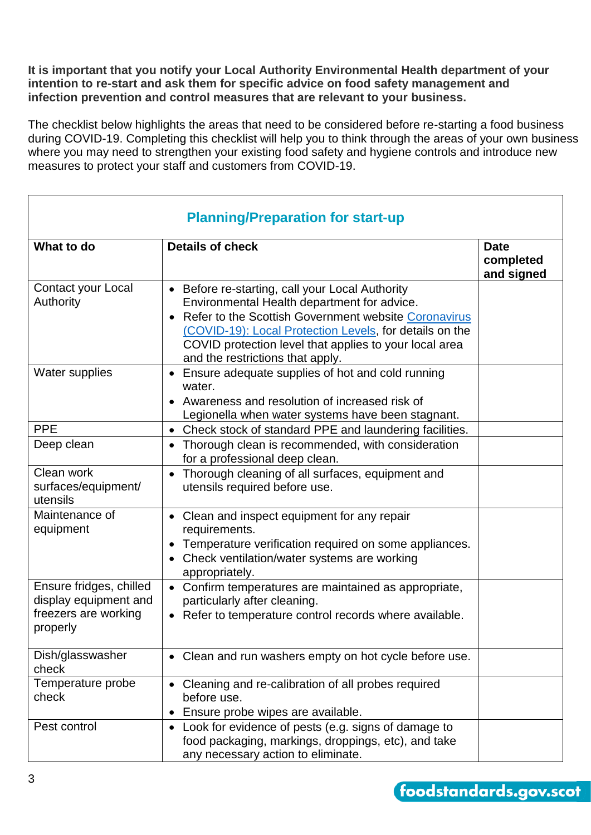**It is important that you notify your Local Authority Environmental Health department of your intention to re-start and ask them for specific advice on food safety management and infection prevention and control measures that are relevant to your business.**

The checklist below highlights the areas that need to be considered before re-starting a food business during COVID-19. Completing this checklist will help you to think through the areas of your own business where you may need to strengthen your existing food safety and hygiene controls and introduce new measures to protect your staff and customers from COVID-19.

| <b>Planning/Preparation for start-up</b>                                             |                                                                                                                                                                                                                                                                                                               |                                        |
|--------------------------------------------------------------------------------------|---------------------------------------------------------------------------------------------------------------------------------------------------------------------------------------------------------------------------------------------------------------------------------------------------------------|----------------------------------------|
| What to do                                                                           | <b>Details of check</b>                                                                                                                                                                                                                                                                                       | <b>Date</b><br>completed<br>and signed |
| Contact your Local<br>Authority                                                      | Before re-starting, call your Local Authority<br>Environmental Health department for advice.<br>Refer to the Scottish Government website Coronavirus<br>(COVID-19): Local Protection Levels, for details on the<br>COVID protection level that applies to your local area<br>and the restrictions that apply. |                                        |
| <b>Water supplies</b>                                                                | Ensure adequate supplies of hot and cold running<br>water.<br>• Awareness and resolution of increased risk of<br>Legionella when water systems have been stagnant.                                                                                                                                            |                                        |
| <b>PPE</b>                                                                           | • Check stock of standard PPE and laundering facilities.                                                                                                                                                                                                                                                      |                                        |
| Deep clean                                                                           | Thorough clean is recommended, with consideration<br>for a professional deep clean.                                                                                                                                                                                                                           |                                        |
| Clean work<br>surfaces/equipment/<br>utensils                                        | Thorough cleaning of all surfaces, equipment and<br>utensils required before use.                                                                                                                                                                                                                             |                                        |
| Maintenance of<br>equipment                                                          | Clean and inspect equipment for any repair<br>requirements.<br>Temperature verification required on some appliances.<br>Check ventilation/water systems are working<br>appropriately.                                                                                                                         |                                        |
| Ensure fridges, chilled<br>display equipment and<br>freezers are working<br>properly | Confirm temperatures are maintained as appropriate,<br>particularly after cleaning.<br>Refer to temperature control records where available.                                                                                                                                                                  |                                        |
| Dish/glasswasher<br>check                                                            | Clean and run washers empty on hot cycle before use.                                                                                                                                                                                                                                                          |                                        |
| Temperature probe<br>check                                                           | Cleaning and re-calibration of all probes required<br>before use.<br>Ensure probe wipes are available.                                                                                                                                                                                                        |                                        |
| Pest control                                                                         | Look for evidence of pests (e.g. signs of damage to<br>food packaging, markings, droppings, etc), and take<br>any necessary action to eliminate.                                                                                                                                                              |                                        |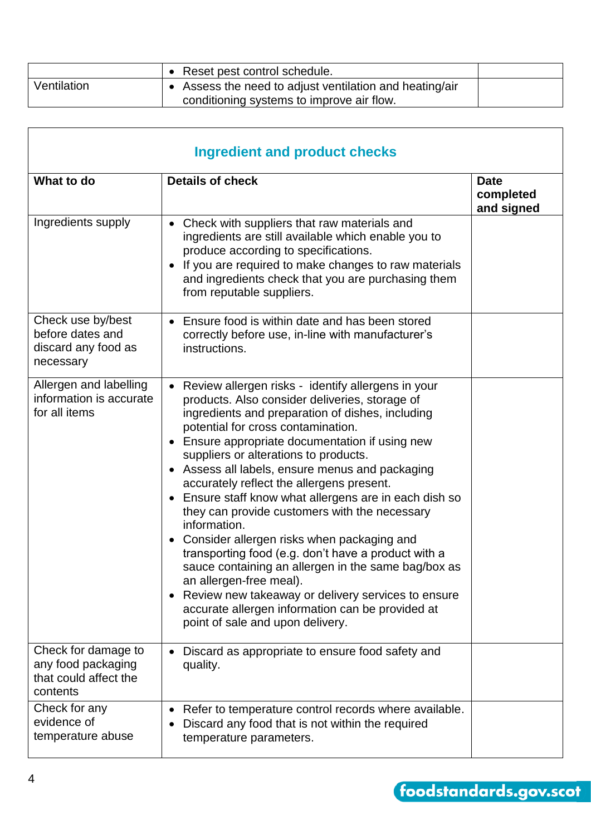|             | • Reset pest control schedule.                                                                       |  |
|-------------|------------------------------------------------------------------------------------------------------|--|
| Ventilation | • Assess the need to adjust ventilation and heating/air<br>conditioning systems to improve air flow. |  |
|             |                                                                                                      |  |

| <b>Ingredient and product checks</b>                                           |                                                                                                                                                                                                                                                                                                                                                                                                                                                                                                                                                                                                                                                                                                                                                                                                                                                              |                                        |
|--------------------------------------------------------------------------------|--------------------------------------------------------------------------------------------------------------------------------------------------------------------------------------------------------------------------------------------------------------------------------------------------------------------------------------------------------------------------------------------------------------------------------------------------------------------------------------------------------------------------------------------------------------------------------------------------------------------------------------------------------------------------------------------------------------------------------------------------------------------------------------------------------------------------------------------------------------|----------------------------------------|
| What to do                                                                     | <b>Details of check</b>                                                                                                                                                                                                                                                                                                                                                                                                                                                                                                                                                                                                                                                                                                                                                                                                                                      | <b>Date</b><br>completed<br>and signed |
| Ingredients supply                                                             | Check with suppliers that raw materials and<br>ingredients are still available which enable you to<br>produce according to specifications.<br>If you are required to make changes to raw materials<br>and ingredients check that you are purchasing them<br>from reputable suppliers.                                                                                                                                                                                                                                                                                                                                                                                                                                                                                                                                                                        |                                        |
| Check use by/best<br>before dates and<br>discard any food as<br>necessary      | • Ensure food is within date and has been stored<br>correctly before use, in-line with manufacturer's<br>instructions.                                                                                                                                                                                                                                                                                                                                                                                                                                                                                                                                                                                                                                                                                                                                       |                                        |
| Allergen and labelling<br>information is accurate<br>for all items             | Review allergen risks - identify allergens in your<br>products. Also consider deliveries, storage of<br>ingredients and preparation of dishes, including<br>potential for cross contamination.<br>• Ensure appropriate documentation if using new<br>suppliers or alterations to products.<br>• Assess all labels, ensure menus and packaging<br>accurately reflect the allergens present.<br>Ensure staff know what allergens are in each dish so<br>they can provide customers with the necessary<br>information.<br>• Consider allergen risks when packaging and<br>transporting food (e.g. don't have a product with a<br>sauce containing an allergen in the same bag/box as<br>an allergen-free meal).<br>• Review new takeaway or delivery services to ensure<br>accurate allergen information can be provided at<br>point of sale and upon delivery. |                                        |
| Check for damage to<br>any food packaging<br>that could affect the<br>contents | Discard as appropriate to ensure food safety and<br>quality.                                                                                                                                                                                                                                                                                                                                                                                                                                                                                                                                                                                                                                                                                                                                                                                                 |                                        |
| Check for any<br>evidence of<br>temperature abuse                              | Refer to temperature control records where available.<br>Discard any food that is not within the required<br>temperature parameters.                                                                                                                                                                                                                                                                                                                                                                                                                                                                                                                                                                                                                                                                                                                         |                                        |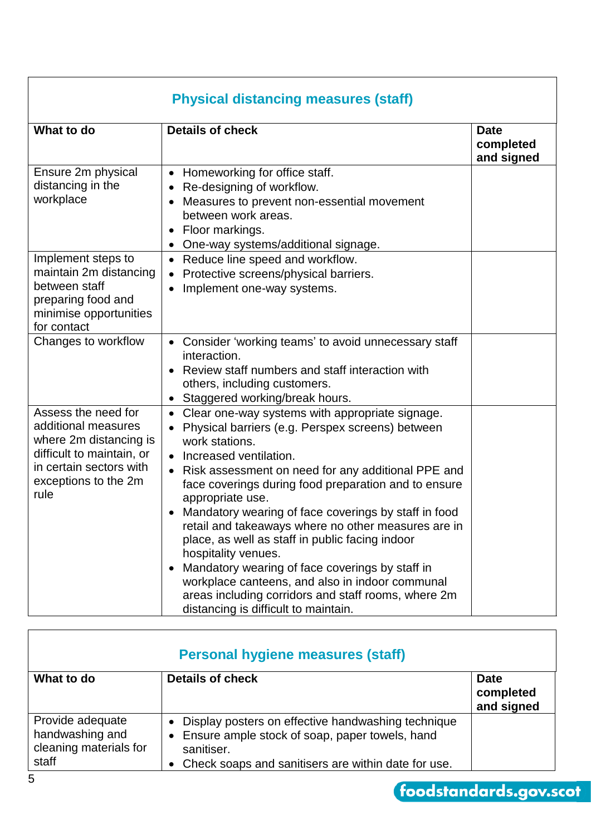| <b>Physical distancing measures (staff)</b>                                                                                                                  |                                                                                                                                                                                                                                                                                                                                                                                                                                                                                                                                                                                                                                                                                                           |                                        |
|--------------------------------------------------------------------------------------------------------------------------------------------------------------|-----------------------------------------------------------------------------------------------------------------------------------------------------------------------------------------------------------------------------------------------------------------------------------------------------------------------------------------------------------------------------------------------------------------------------------------------------------------------------------------------------------------------------------------------------------------------------------------------------------------------------------------------------------------------------------------------------------|----------------------------------------|
| What to do                                                                                                                                                   | <b>Details of check</b>                                                                                                                                                                                                                                                                                                                                                                                                                                                                                                                                                                                                                                                                                   | <b>Date</b><br>completed<br>and signed |
| Ensure 2m physical<br>distancing in the<br>workplace                                                                                                         | Homeworking for office staff.<br>Re-designing of workflow.<br>Measures to prevent non-essential movement<br>$\bullet$<br>between work areas.<br>Floor markings.<br>One-way systems/additional signage.                                                                                                                                                                                                                                                                                                                                                                                                                                                                                                    |                                        |
| Implement steps to<br>maintain 2m distancing<br>between staff<br>preparing food and<br>minimise opportunities<br>for contact                                 | Reduce line speed and workflow.<br>$\bullet$<br>Protective screens/physical barriers.<br>Implement one-way systems.                                                                                                                                                                                                                                                                                                                                                                                                                                                                                                                                                                                       |                                        |
| Changes to workflow                                                                                                                                          | Consider 'working teams' to avoid unnecessary staff<br>interaction.<br>Review staff numbers and staff interaction with<br>others, including customers.<br>Staggered working/break hours.<br>$\bullet$                                                                                                                                                                                                                                                                                                                                                                                                                                                                                                     |                                        |
| Assess the need for<br>additional measures<br>where 2m distancing is<br>difficult to maintain, or<br>in certain sectors with<br>exceptions to the 2m<br>rule | Clear one-way systems with appropriate signage.<br>Physical barriers (e.g. Perspex screens) between<br>work stations.<br>Increased ventilation.<br>$\bullet$<br>Risk assessment on need for any additional PPE and<br>$\bullet$<br>face coverings during food preparation and to ensure<br>appropriate use.<br>Mandatory wearing of face coverings by staff in food<br>retail and takeaways where no other measures are in<br>place, as well as staff in public facing indoor<br>hospitality venues.<br>Mandatory wearing of face coverings by staff in<br>workplace canteens, and also in indoor communal<br>areas including corridors and staff rooms, where 2m<br>distancing is difficult to maintain. |                                        |

|                                                                        | <b>Personal hygiene measures (staff)</b>                                                                                                                                                   |                                        |
|------------------------------------------------------------------------|--------------------------------------------------------------------------------------------------------------------------------------------------------------------------------------------|----------------------------------------|
| What to do                                                             | <b>Details of check</b>                                                                                                                                                                    | <b>Date</b><br>completed<br>and signed |
| Provide adequate<br>handwashing and<br>cleaning materials for<br>staff | Display posters on effective handwashing technique<br>$\bullet$<br>• Ensure ample stock of soap, paper towels, hand<br>sanitiser.<br>• Check soaps and sanitisers are within date for use. |                                        |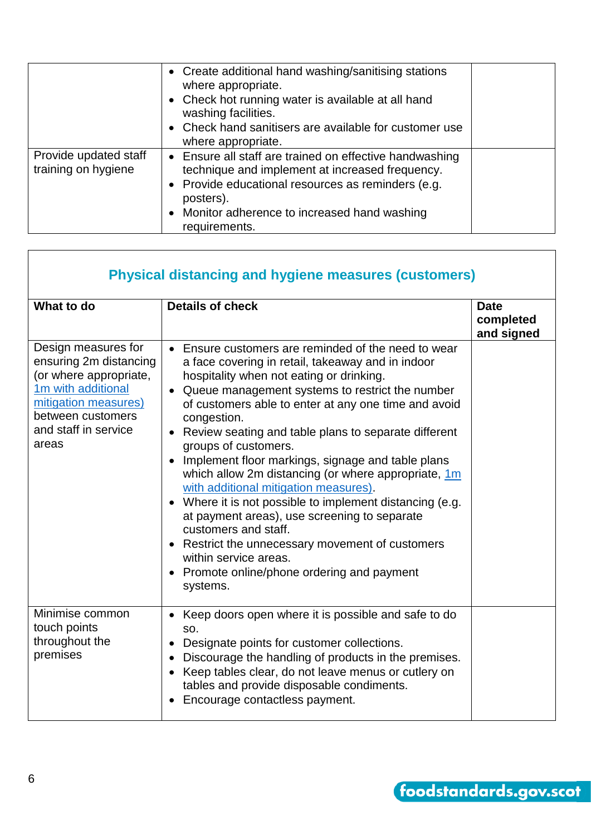|                                              | • Create additional hand washing/sanitising stations<br>where appropriate.<br>• Check hot running water is available at all hand<br>washing facilities.<br>• Check hand sanitisers are available for customer use<br>where appropriate.         |  |
|----------------------------------------------|-------------------------------------------------------------------------------------------------------------------------------------------------------------------------------------------------------------------------------------------------|--|
| Provide updated staff<br>training on hygiene | • Ensure all staff are trained on effective handwashing<br>technique and implement at increased frequency.<br>• Provide educational resources as reminders (e.g.<br>posters).<br>• Monitor adherence to increased hand washing<br>requirements. |  |

| <b>Physical distancing and hygiene measures (customers)</b>                                                                                                                 |                                                                                                                                                                                                                                                                                                                                                                                                                                                                                                                                                                                                                                                                                                                                                                                                     |                                        |
|-----------------------------------------------------------------------------------------------------------------------------------------------------------------------------|-----------------------------------------------------------------------------------------------------------------------------------------------------------------------------------------------------------------------------------------------------------------------------------------------------------------------------------------------------------------------------------------------------------------------------------------------------------------------------------------------------------------------------------------------------------------------------------------------------------------------------------------------------------------------------------------------------------------------------------------------------------------------------------------------------|----------------------------------------|
| What to do                                                                                                                                                                  | <b>Details of check</b>                                                                                                                                                                                                                                                                                                                                                                                                                                                                                                                                                                                                                                                                                                                                                                             | <b>Date</b><br>completed<br>and signed |
| Design measures for<br>ensuring 2m distancing<br>(or where appropriate,<br>1m with additional<br>mitigation measures)<br>between customers<br>and staff in service<br>areas | • Ensure customers are reminded of the need to wear<br>a face covering in retail, takeaway and in indoor<br>hospitality when not eating or drinking.<br>Queue management systems to restrict the number<br>of customers able to enter at any one time and avoid<br>congestion.<br>• Review seating and table plans to separate different<br>groups of customers.<br>• Implement floor markings, signage and table plans<br>which allow 2m distancing (or where appropriate, 1m<br>with additional mitigation measures).<br>• Where it is not possible to implement distancing (e.g.<br>at payment areas), use screening to separate<br>customers and staff.<br>• Restrict the unnecessary movement of customers<br>within service areas.<br>• Promote online/phone ordering and payment<br>systems. |                                        |
| Minimise common<br>touch points<br>throughout the<br>premises                                                                                                               | • Keep doors open where it is possible and safe to do<br>SO.<br>Designate points for customer collections.<br>Discourage the handling of products in the premises.<br>$\bullet$<br>Keep tables clear, do not leave menus or cutlery on<br>$\bullet$<br>tables and provide disposable condiments.<br>Encourage contactless payment.                                                                                                                                                                                                                                                                                                                                                                                                                                                                  |                                        |

 $\mathbf{r}$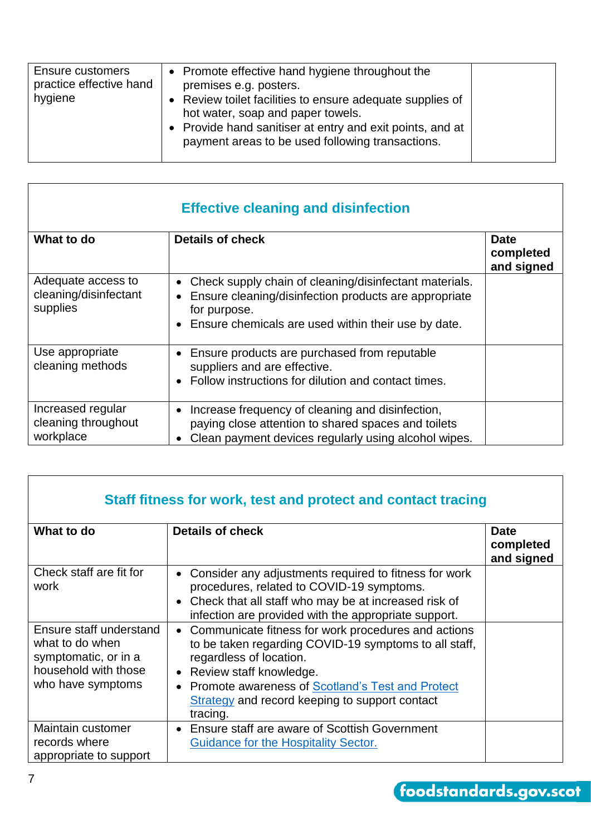| Ensure customers<br>practice effective hand<br>hygiene | • Promote effective hand hygiene throughout the<br>premises e.g. posters.<br>• Review toilet facilities to ensure adequate supplies of<br>hot water, soap and paper towels.<br>• Provide hand sanitiser at entry and exit points, and at<br>payment areas to be used following transactions. |  |
|--------------------------------------------------------|----------------------------------------------------------------------------------------------------------------------------------------------------------------------------------------------------------------------------------------------------------------------------------------------|--|
|                                                        |                                                                                                                                                                                                                                                                                              |  |

| <b>Effective cleaning and disinfection</b>              |                                                                                                                                                                                                     |                                        |
|---------------------------------------------------------|-----------------------------------------------------------------------------------------------------------------------------------------------------------------------------------------------------|----------------------------------------|
| What to do                                              | <b>Details of check</b>                                                                                                                                                                             | <b>Date</b><br>completed<br>and signed |
| Adequate access to<br>cleaning/disinfectant<br>supplies | Check supply chain of cleaning/disinfectant materials.<br>$\bullet$<br>Ensure cleaning/disinfection products are appropriate<br>for purpose.<br>Ensure chemicals are used within their use by date. |                                        |
| Use appropriate<br>cleaning methods                     | Ensure products are purchased from reputable<br>suppliers and are effective.<br>Follow instructions for dilution and contact times.                                                                 |                                        |
| Increased regular<br>cleaning throughout<br>workplace   | Increase frequency of cleaning and disinfection,<br>paying close attention to shared spaces and toilets<br>Clean payment devices regularly using alcohol wipes.                                     |                                        |

| Staff fitness for work, test and protect and contact tracing                                                    |                                                                                                                                                                                                                                                                                      |                                        |
|-----------------------------------------------------------------------------------------------------------------|--------------------------------------------------------------------------------------------------------------------------------------------------------------------------------------------------------------------------------------------------------------------------------------|----------------------------------------|
| What to do                                                                                                      | <b>Details of check</b>                                                                                                                                                                                                                                                              | <b>Date</b><br>completed<br>and signed |
| Check staff are fit for<br>work                                                                                 | Consider any adjustments required to fitness for work<br>procedures, related to COVID-19 symptoms.<br>Check that all staff who may be at increased risk of<br>infection are provided with the appropriate support.                                                                   |                                        |
| Ensure staff understand<br>what to do when<br>symptomatic, or in a<br>household with those<br>who have symptoms | Communicate fitness for work procedures and actions<br>to be taken regarding COVID-19 symptoms to all staff,<br>regardless of location.<br>Review staff knowledge.<br>Promote awareness of Scotland's Test and Protect<br>Strategy and record keeping to support contact<br>tracing. |                                        |
| Maintain customer<br>records where<br>appropriate to support                                                    | Ensure staff are aware of Scottish Government<br>$\bullet$<br>Guidance for the Hospitality Sector.                                                                                                                                                                                   |                                        |

٦

 $\overline{\phantom{a}}$